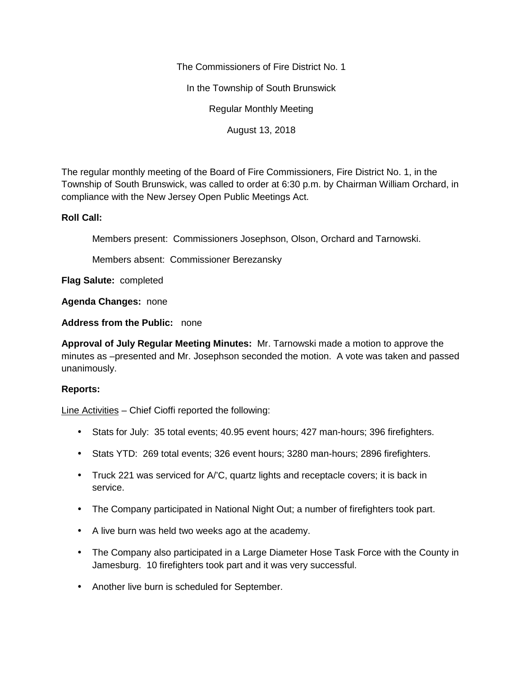The Commissioners of Fire District No. 1

In the Township of South Brunswick

Regular Monthly Meeting

August 13, 2018

The regular monthly meeting of the Board of Fire Commissioners, Fire District No. 1, in the Township of South Brunswick, was called to order at 6:30 p.m. by Chairman William Orchard, in compliance with the New Jersey Open Public Meetings Act.

## **Roll Call:**

Members present: Commissioners Josephson, Olson, Orchard and Tarnowski.

Members absent: Commissioner Berezansky

**Flag Salute:** completed

**Agenda Changes:** none

**Address from the Public:** none

**Approval of July Regular Meeting Minutes:** Mr. Tarnowski made a motion to approve the minutes as –presented and Mr. Josephson seconded the motion. A vote was taken and passed unanimously.

## **Reports:**

Line Activities – Chief Cioffi reported the following:

- Stats for July: 35 total events; 40.95 event hours; 427 man-hours; 396 firefighters.
- Stats YTD: 269 total events; 326 event hours; 3280 man-hours; 2896 firefighters.
- Truck 221 was serviced for A/'C, quartz lights and receptacle covers; it is back in service.
- The Company participated in National Night Out; a number of firefighters took part.
- A live burn was held two weeks ago at the academy.
- The Company also participated in a Large Diameter Hose Task Force with the County in Jamesburg. 10 firefighters took part and it was very successful.
- Another live burn is scheduled for September.